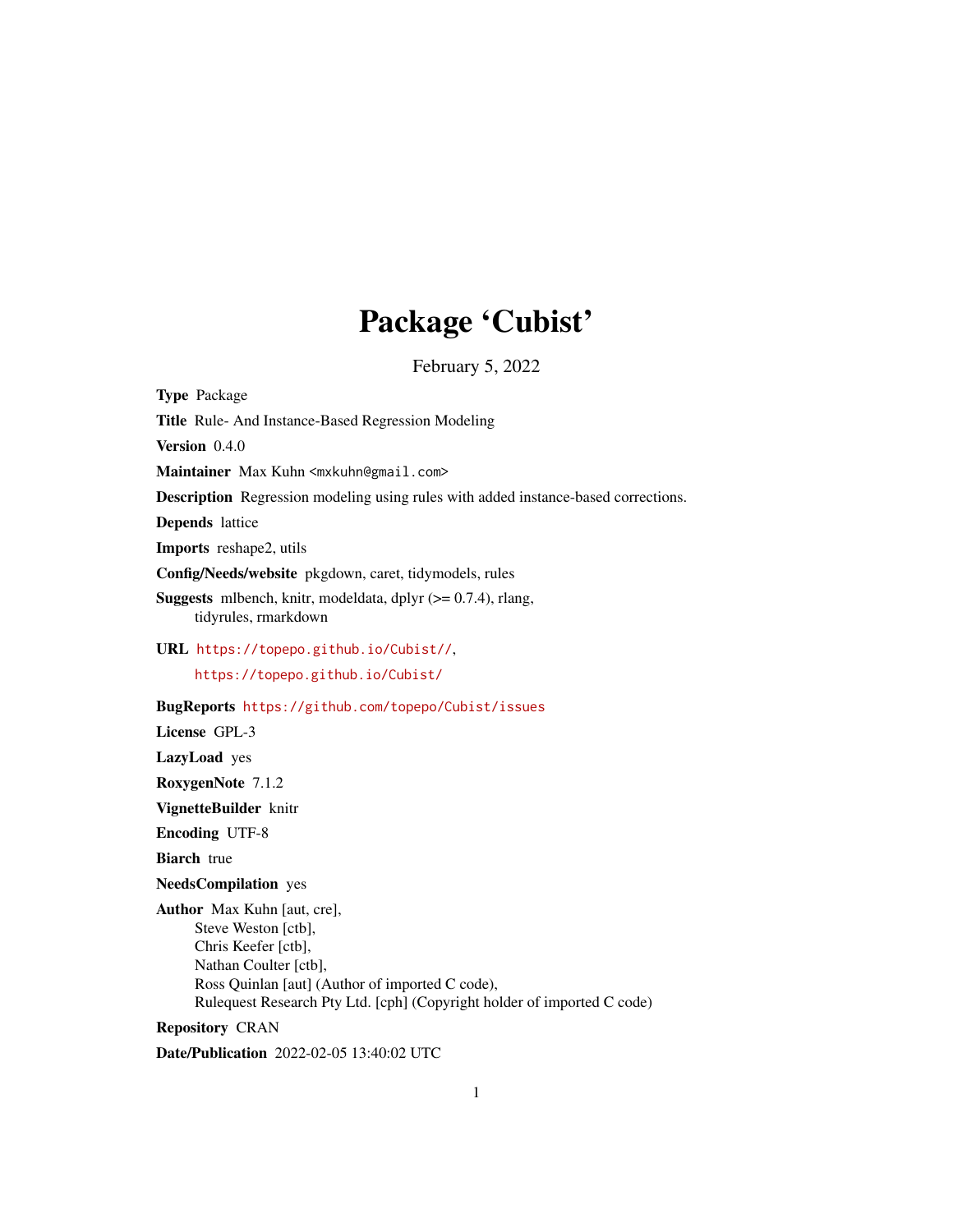# Package 'Cubist'

February 5, 2022

<span id="page-0-0"></span>Type Package Title Rule- And Instance-Based Regression Modeling Version 0.4.0 Maintainer Max Kuhn <mxkuhn@gmail.com> Description Regression modeling using rules with added instance-based corrections. Depends lattice Imports reshape2, utils Config/Needs/website pkgdown, caret, tidymodels, rules **Suggests** mlbench, knitr, modeldata, dplyr  $(>= 0.7.4)$ , rlang, tidyrules, rmarkdown URL <https://topepo.github.io/Cubist//>, <https://topepo.github.io/Cubist/> BugReports <https://github.com/topepo/Cubist/issues> License GPL-3 LazyLoad yes RoxygenNote 7.1.2 VignetteBuilder knitr Encoding UTF-8 **Biarch** true NeedsCompilation yes Author Max Kuhn [aut, cre], Steve Weston [ctb], Chris Keefer [ctb], Nathan Coulter [ctb], Ross Quinlan [aut] (Author of imported C code), Rulequest Research Pty Ltd. [cph] (Copyright holder of imported C code)

Repository CRAN

Date/Publication 2022-02-05 13:40:02 UTC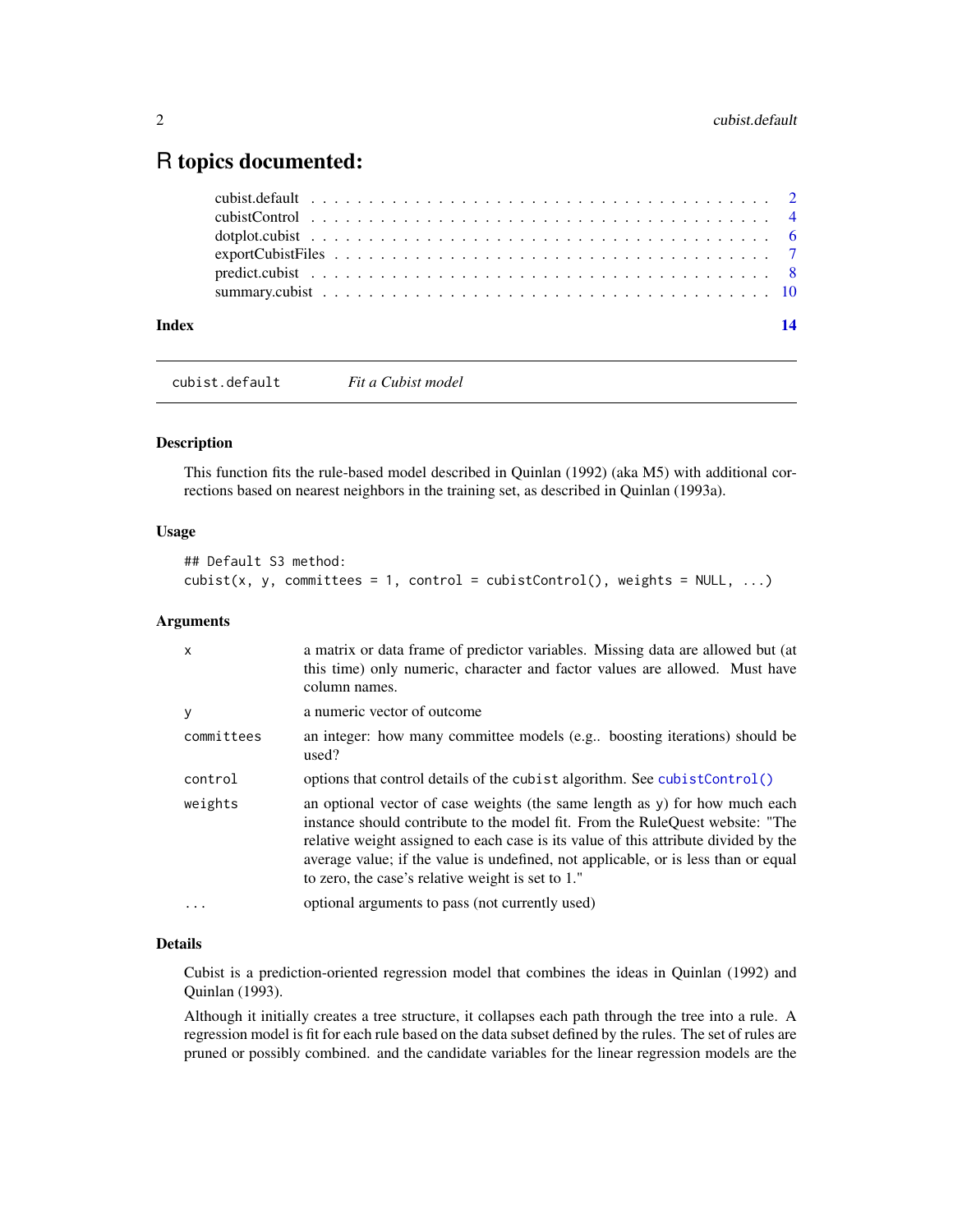## <span id="page-1-0"></span>R topics documented:

| Index |  |  |  |  |  |  |  |  |  |  |  |  |  |  |  |  | $\overline{14}$ |
|-------|--|--|--|--|--|--|--|--|--|--|--|--|--|--|--|--|-----------------|
|       |  |  |  |  |  |  |  |  |  |  |  |  |  |  |  |  |                 |
|       |  |  |  |  |  |  |  |  |  |  |  |  |  |  |  |  |                 |
|       |  |  |  |  |  |  |  |  |  |  |  |  |  |  |  |  |                 |
|       |  |  |  |  |  |  |  |  |  |  |  |  |  |  |  |  |                 |
|       |  |  |  |  |  |  |  |  |  |  |  |  |  |  |  |  |                 |
|       |  |  |  |  |  |  |  |  |  |  |  |  |  |  |  |  |                 |

cubist.default *Fit a Cubist model*

#### <span id="page-1-1"></span>Description

This function fits the rule-based model described in Quinlan (1992) (aka M5) with additional corrections based on nearest neighbors in the training set, as described in Quinlan (1993a).

#### Usage

```
## Default S3 method:
cubist(x, y, committees = 1, control = cubistControl(), weights = NULL, ...)
```
#### Arguments

| $\mathsf{x}$ | a matrix or data frame of predictor variables. Missing data are allowed but (at<br>this time) only numeric, character and factor values are allowed. Must have<br>column names.                                                                                                                                                                                                                |
|--------------|------------------------------------------------------------------------------------------------------------------------------------------------------------------------------------------------------------------------------------------------------------------------------------------------------------------------------------------------------------------------------------------------|
| У            | a numeric vector of outcome                                                                                                                                                                                                                                                                                                                                                                    |
| committees   | an integer: how many committee models (e.g., boosting iterations) should be<br>used?                                                                                                                                                                                                                                                                                                           |
| control      | options that control details of the cubist algorithm. See cubistControl()                                                                                                                                                                                                                                                                                                                      |
| weights      | an optional vector of case weights (the same length as y) for how much each<br>instance should contribute to the model fit. From the RuleQuest website: "The<br>relative weight assigned to each case is its value of this attribute divided by the<br>average value; if the value is undefined, not applicable, or is less than or equal<br>to zero, the case's relative weight is set to 1." |
| $\ddotsc$    | optional arguments to pass (not currently used)                                                                                                                                                                                                                                                                                                                                                |

#### Details

Cubist is a prediction-oriented regression model that combines the ideas in Quinlan (1992) and Quinlan (1993).

Although it initially creates a tree structure, it collapses each path through the tree into a rule. A regression model is fit for each rule based on the data subset defined by the rules. The set of rules are pruned or possibly combined. and the candidate variables for the linear regression models are the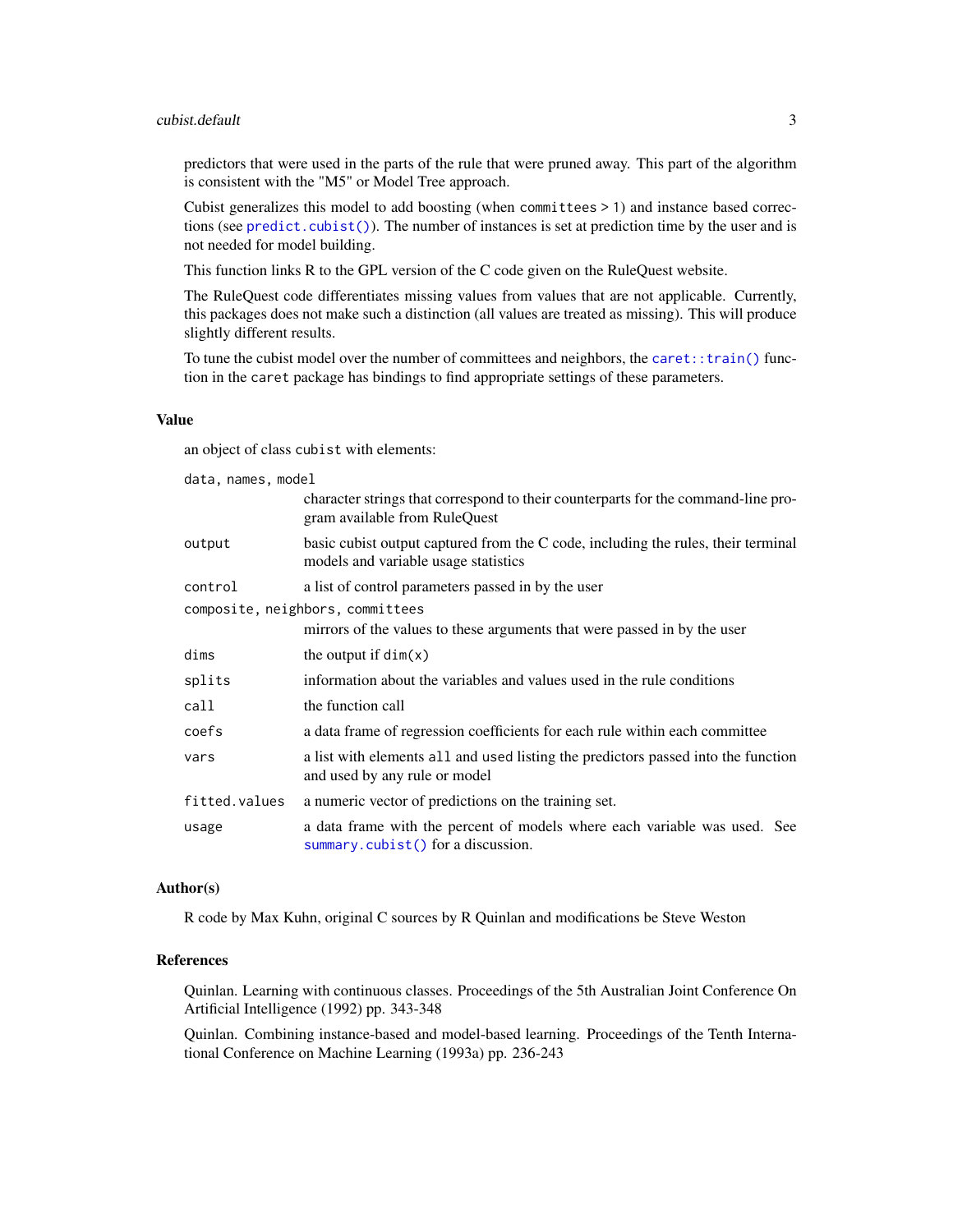#### <span id="page-2-0"></span>cubist.default 3

predictors that were used in the parts of the rule that were pruned away. This part of the algorithm is consistent with the "M5" or Model Tree approach.

Cubist generalizes this model to add boosting (when committees > 1) and instance based corrections (see [predict.cubist\(\)](#page-7-1)). The number of instances is set at prediction time by the user and is not needed for model building.

This function links R to the GPL version of the C code given on the RuleQuest website.

The RuleQuest code differentiates missing values from values that are not applicable. Currently, this packages does not make such a distinction (all values are treated as missing). This will produce slightly different results.

To tune the cubist model over the number of committees and neighbors, the [caret::train\(\)](#page-0-0) function in the caret package has bindings to find appropriate settings of these parameters.

#### Value

an object of class cubist with elements:

| data, names, model |                                                                                                                           |
|--------------------|---------------------------------------------------------------------------------------------------------------------------|
|                    | character strings that correspond to their counterparts for the command-line pro-<br>gram available from RuleQuest        |
| output             | basic cubist output captured from the C code, including the rules, their terminal<br>models and variable usage statistics |
| control            | a list of control parameters passed in by the user                                                                        |
|                    | composite, neighbors, committees                                                                                          |
|                    | mirrors of the values to these arguments that were passed in by the user                                                  |
| dims               | the output if $dim(x)$                                                                                                    |
| splits             | information about the variables and values used in the rule conditions                                                    |
| call               | the function call                                                                                                         |
| coefs              | a data frame of regression coefficients for each rule within each committee                                               |
| vars               | a list with elements all and used listing the predictors passed into the function<br>and used by any rule or model        |
| fitted.values      | a numeric vector of predictions on the training set.                                                                      |
| usage              | a data frame with the percent of models where each variable was used. See<br>summary.cubist() for a discussion.           |

#### Author(s)

R code by Max Kuhn, original C sources by R Quinlan and modifications be Steve Weston

#### References

Quinlan. Learning with continuous classes. Proceedings of the 5th Australian Joint Conference On Artificial Intelligence (1992) pp. 343-348

Quinlan. Combining instance-based and model-based learning. Proceedings of the Tenth International Conference on Machine Learning (1993a) pp. 236-243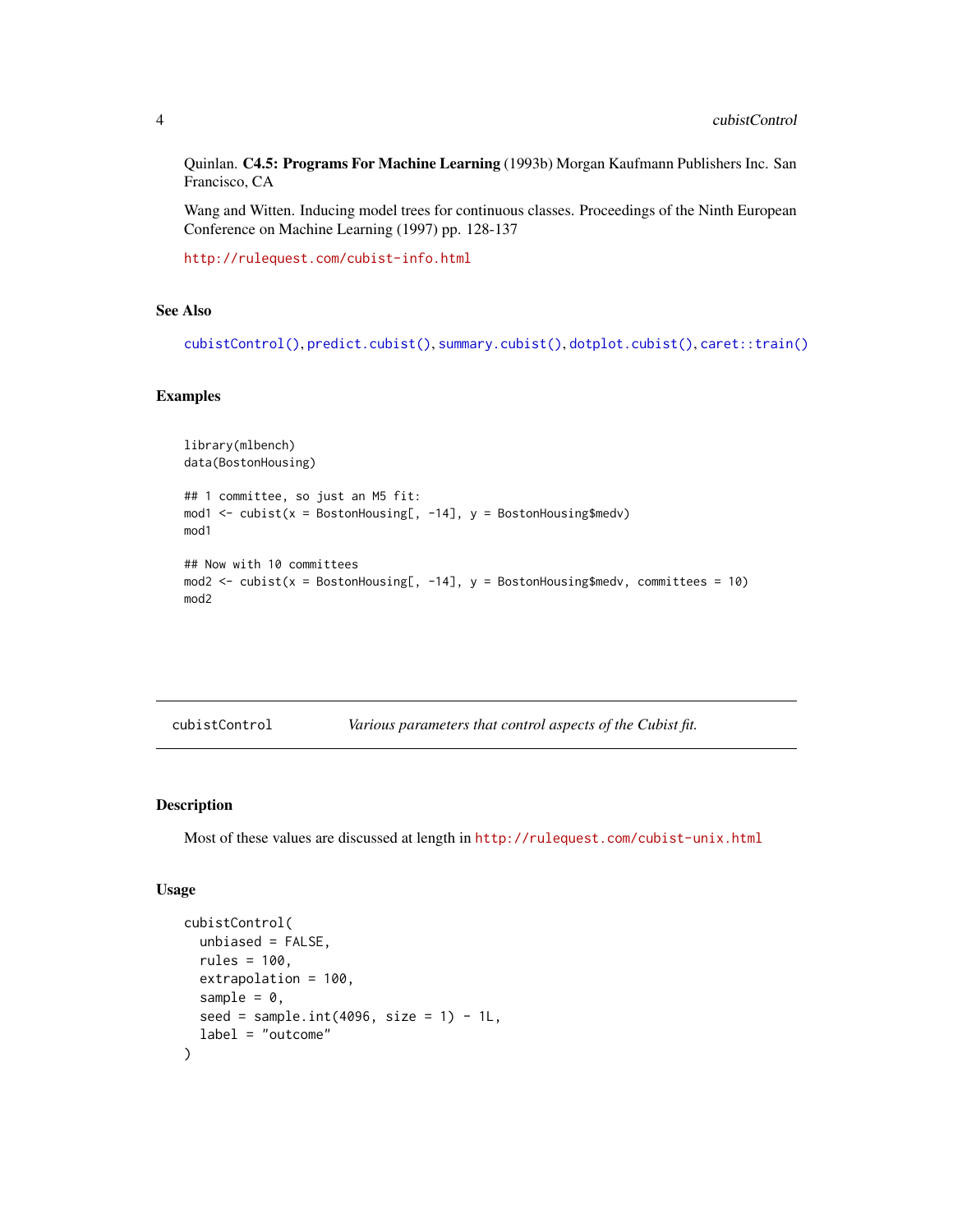<span id="page-3-0"></span>Quinlan. C4.5: Programs For Machine Learning (1993b) Morgan Kaufmann Publishers Inc. San Francisco, CA

Wang and Witten. Inducing model trees for continuous classes. Proceedings of the Ninth European Conference on Machine Learning (1997) pp. 128-137

<http://rulequest.com/cubist-info.html>

#### See Also

[cubistControl\(\)](#page-3-1), [predict.cubist\(\)](#page-7-1), [summary.cubist\(\)](#page-9-1), [dotplot.cubist\(\)](#page-5-1), [caret::train\(\)](#page-0-0)

#### Examples

```
library(mlbench)
data(BostonHousing)
## 1 committee, so just an M5 fit:
mod1 <- cubist(x = BostonHouse, -14], y = BostonHousemod1
## Now with 10 committees
mod2 <- cubist(x = BostonHousing[, -14], y = BostonHousing$medv, committees = 10)
mod2
```
<span id="page-3-1"></span>

| cubistControl | Various parameters that control aspects of the Cubist fit. |  |
|---------------|------------------------------------------------------------|--|
|---------------|------------------------------------------------------------|--|

#### Description

Most of these values are discussed at length in <http://rulequest.com/cubist-unix.html>

#### Usage

```
cubistControl(
  unbiased = FALSE,
  rules = 100.
 extrapolation = 100,
  sample = 0,
  seed = sample.int(4096, size = 1) - 1L,
  label = "outcome"
)
```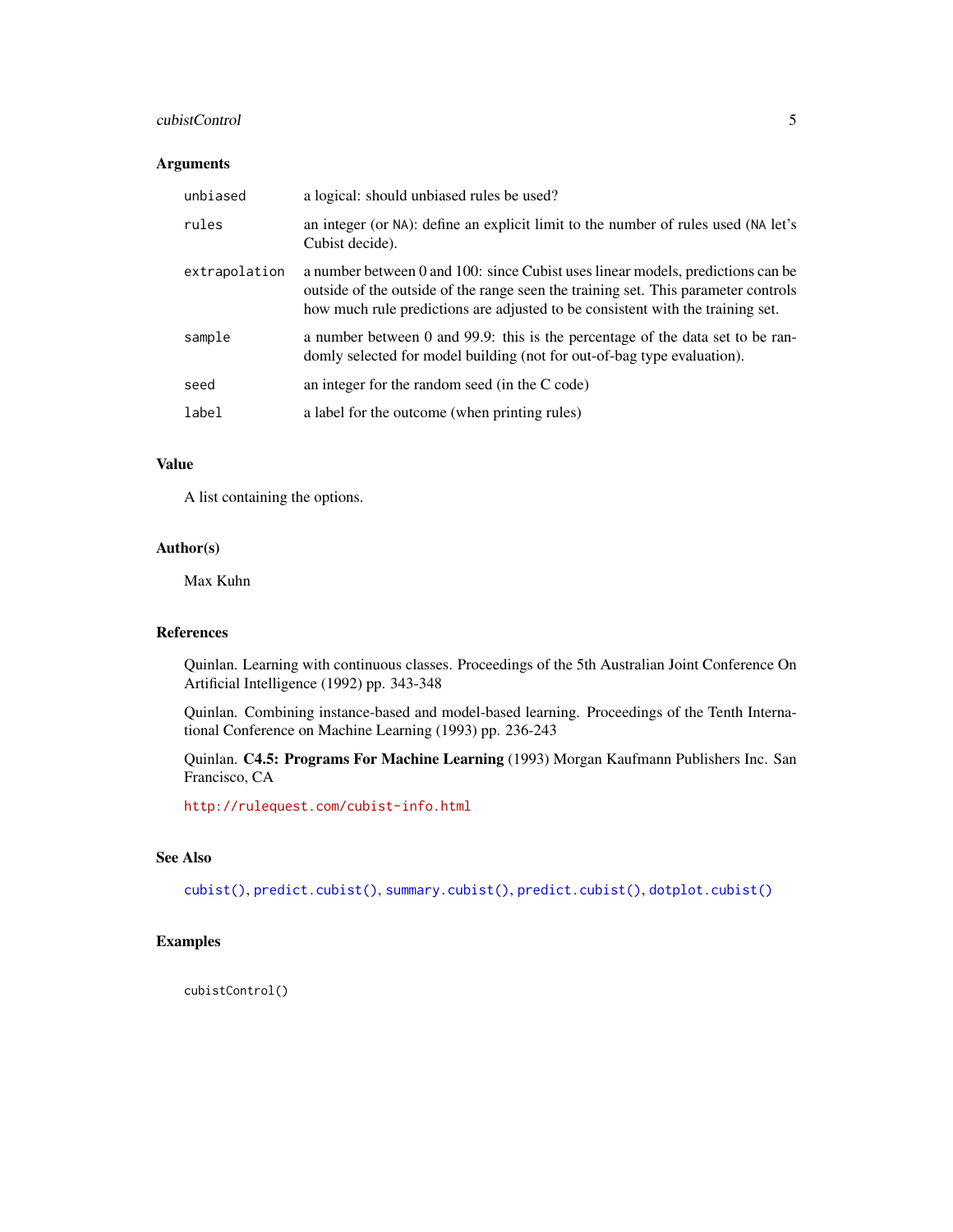#### <span id="page-4-0"></span>cubistControl 5

#### Arguments

| unbiased      | a logical: should unbiased rules be used?                                                                                                                                                                                                               |
|---------------|---------------------------------------------------------------------------------------------------------------------------------------------------------------------------------------------------------------------------------------------------------|
| rules         | an integer (or NA): define an explicit limit to the number of rules used (NA let's<br>Cubist decide).                                                                                                                                                   |
| extrapolation | a number between 0 and 100: since Cubist uses linear models, predictions can be<br>outside of the outside of the range seen the training set. This parameter controls<br>how much rule predictions are adjusted to be consistent with the training set. |
| sample        | a number between 0 and 99.9: this is the percentage of the data set to be ran-<br>domly selected for model building (not for out-of-bag type evaluation).                                                                                               |
| seed          | an integer for the random seed (in the C code)                                                                                                                                                                                                          |
| label         | a label for the outcome (when printing rules)                                                                                                                                                                                                           |

#### Value

A list containing the options.

#### Author(s)

Max Kuhn

#### References

Quinlan. Learning with continuous classes. Proceedings of the 5th Australian Joint Conference On Artificial Intelligence (1992) pp. 343-348

Quinlan. Combining instance-based and model-based learning. Proceedings of the Tenth International Conference on Machine Learning (1993) pp. 236-243

Quinlan. C4.5: Programs For Machine Learning (1993) Morgan Kaufmann Publishers Inc. San Francisco, CA

<http://rulequest.com/cubist-info.html>

### See Also

[cubist\(\)](#page-1-1), [predict.cubist\(\)](#page-7-1), [summary.cubist\(\)](#page-9-1), [predict.cubist\(\)](#page-7-1), [dotplot.cubist\(\)](#page-5-1)

#### Examples

cubistControl()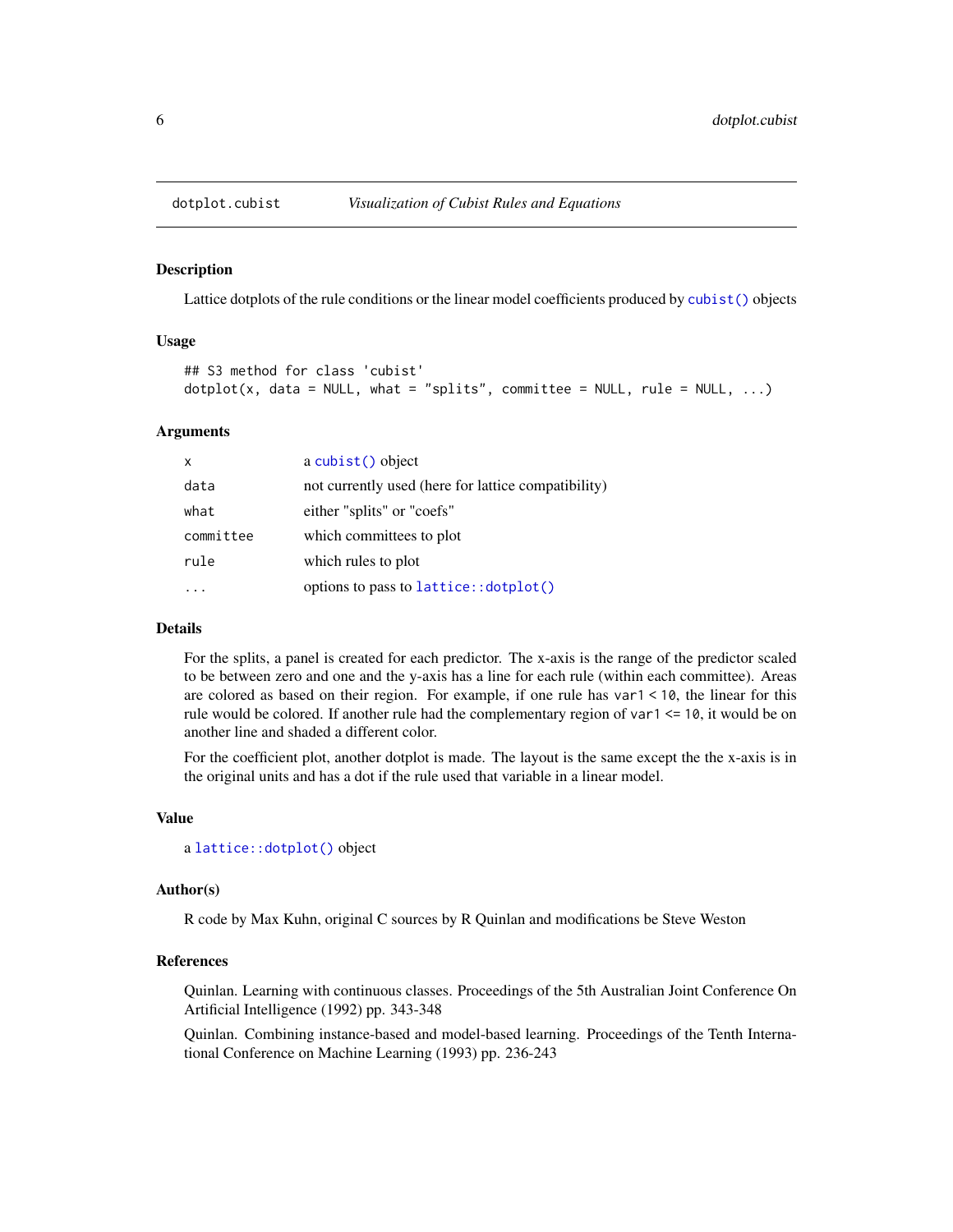<span id="page-5-1"></span><span id="page-5-0"></span>

#### Description

Lattice dotplots of the rule conditions or the linear model coefficients produced by [cubist\(\)](#page-1-1) objects

#### Usage

```
## S3 method for class 'cubist'
dot(x, data = NULL, what = "splits", committee = NULL, rule = NULL, ...)
```
#### Arguments

| X         | a cubist() object                                   |
|-----------|-----------------------------------------------------|
| data      | not currently used (here for lattice compatibility) |
| what      | either "splits" or "coefs"                          |
| committee | which committees to plot                            |
| rule      | which rules to plot                                 |
|           | options to pass to lattice:: dotplot()              |

#### Details

For the splits, a panel is created for each predictor. The x-axis is the range of the predictor scaled to be between zero and one and the y-axis has a line for each rule (within each committee). Areas are colored as based on their region. For example, if one rule has var1 < 10, the linear for this rule would be colored. If another rule had the complementary region of var1 <= 10, it would be on another line and shaded a different color.

For the coefficient plot, another dotplot is made. The layout is the same except the the x-axis is in the original units and has a dot if the rule used that variable in a linear model.

#### Value

a [lattice::dotplot\(\)](#page-0-0) object

#### Author(s)

R code by Max Kuhn, original C sources by R Quinlan and modifications be Steve Weston

#### References

Quinlan. Learning with continuous classes. Proceedings of the 5th Australian Joint Conference On Artificial Intelligence (1992) pp. 343-348

Quinlan. Combining instance-based and model-based learning. Proceedings of the Tenth International Conference on Machine Learning (1993) pp. 236-243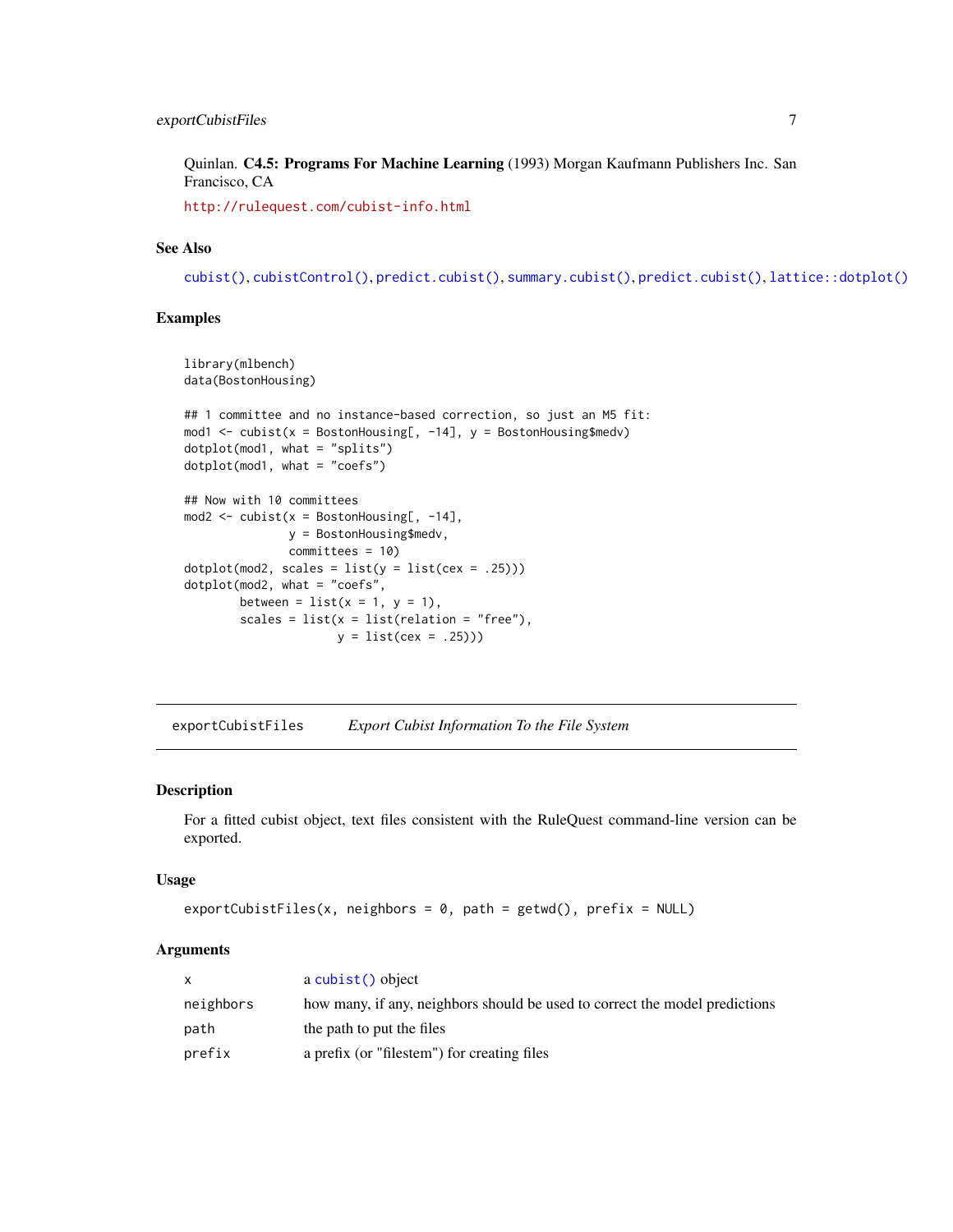#### <span id="page-6-0"></span>exportCubistFiles 7

Quinlan. C4.5: Programs For Machine Learning (1993) Morgan Kaufmann Publishers Inc. San Francisco, CA

<http://rulequest.com/cubist-info.html>

#### See Also

[cubist\(\)](#page-1-1), [cubistControl\(\)](#page-3-1), [predict.cubist\(\)](#page-7-1), [summary.cubist\(\)](#page-9-1), [predict.cubist\(\)](#page-7-1), [lattice::dotplot\(\)](#page-0-0)

#### Examples

```
library(mlbench)
data(BostonHousing)
## 1 committee and no instance-based correction, so just an M5 fit:
mod1 <- cubist(x = BostonHouse, -14], y = BostonHousedotplot(mod1, what = "splits")
dotplot(mod1, what = "coefs")
## Now with 10 committees
mod2 \le cubist(x = BostonHousing[, -14],
              y = BostonHousing$medv,
              committees = 10)
dot(mod2, scales = list(y = list(cex = .25)))dotplot(mod2, what = "coefs",
       between = list(x = 1, y = 1),
       scales = list(x = list(relation = "free"),y = list(cex = .25))
```
exportCubistFiles *Export Cubist Information To the File System*

#### Description

For a fitted cubist object, text files consistent with the RuleQuest command-line version can be exported.

#### Usage

```
exportCubistFiles(x, neighbors = 0, path = getwd(), prefix = NULL)
```
#### Arguments

| x         | a cubist() object                                                           |
|-----------|-----------------------------------------------------------------------------|
| neighbors | how many, if any, neighbors should be used to correct the model predictions |
| path      | the path to put the files                                                   |
| prefix    | a prefix (or "filestem") for creating files                                 |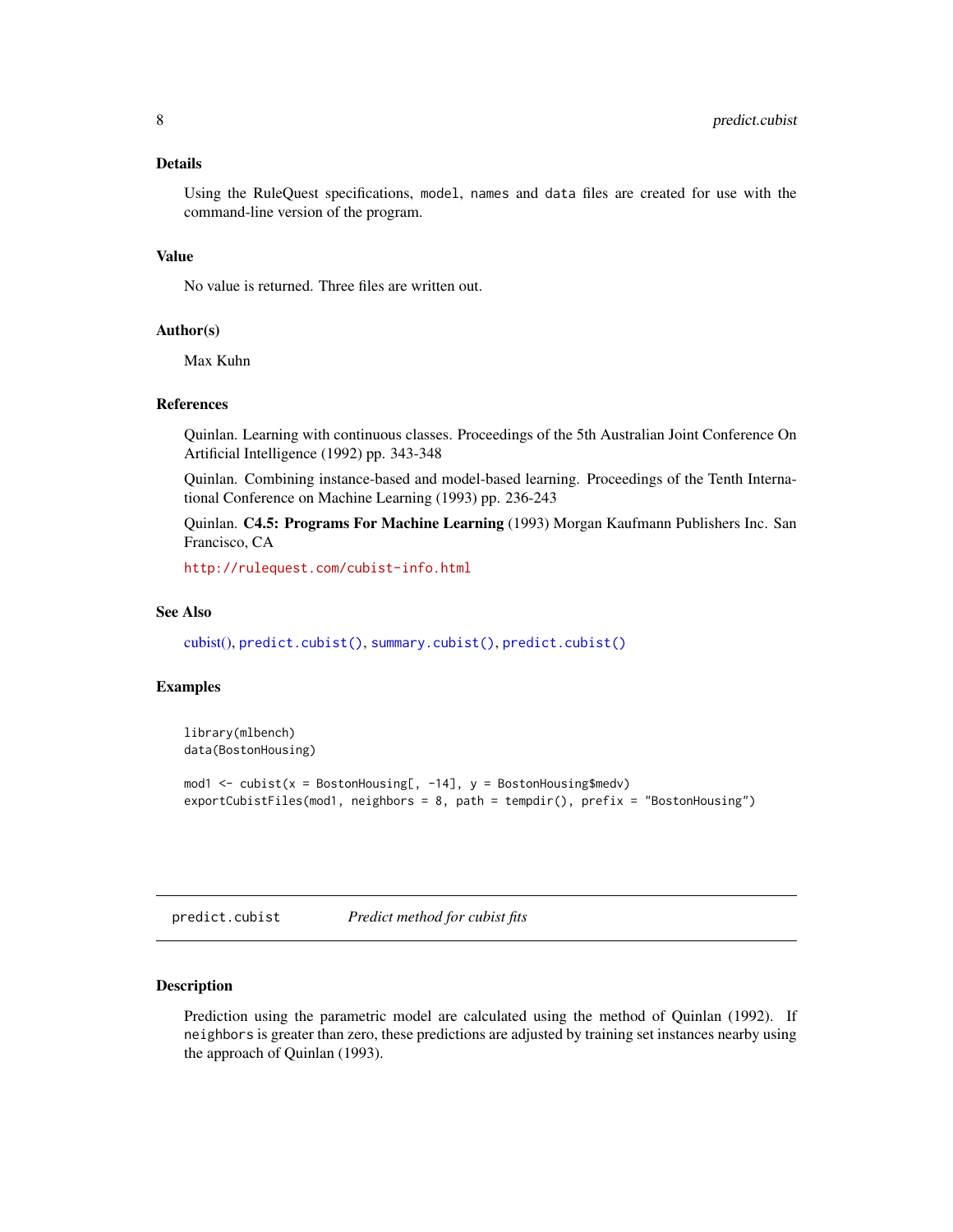#### <span id="page-7-0"></span>Details

Using the RuleQuest specifications, model, names and data files are created for use with the command-line version of the program.

#### Value

No value is returned. Three files are written out.

#### Author(s)

Max Kuhn

#### References

Quinlan. Learning with continuous classes. Proceedings of the 5th Australian Joint Conference On Artificial Intelligence (1992) pp. 343-348

Quinlan. Combining instance-based and model-based learning. Proceedings of the Tenth International Conference on Machine Learning (1993) pp. 236-243

Quinlan. C4.5: Programs For Machine Learning (1993) Morgan Kaufmann Publishers Inc. San Francisco, CA

<http://rulequest.com/cubist-info.html>

#### See Also

[cubist\(\),](#page-3-1) [predict.cubist\(\)](#page-7-1), [summary.cubist\(\)](#page-9-1), [predict.cubist\(\)](#page-7-1)

#### Examples

```
library(mlbench)
data(BostonHousing)
mod1 <- cubist(x = BostonHouse, -14], y = BostonHouseexportCubistFiles(mod1, neighbors = 8, path = tempdir(), prefix = "BostonHousing")
```
<span id="page-7-1"></span>predict.cubist *Predict method for cubist fits*

#### **Description**

Prediction using the parametric model are calculated using the method of Quinlan (1992). If neighbors is greater than zero, these predictions are adjusted by training set instances nearby using the approach of Quinlan (1993).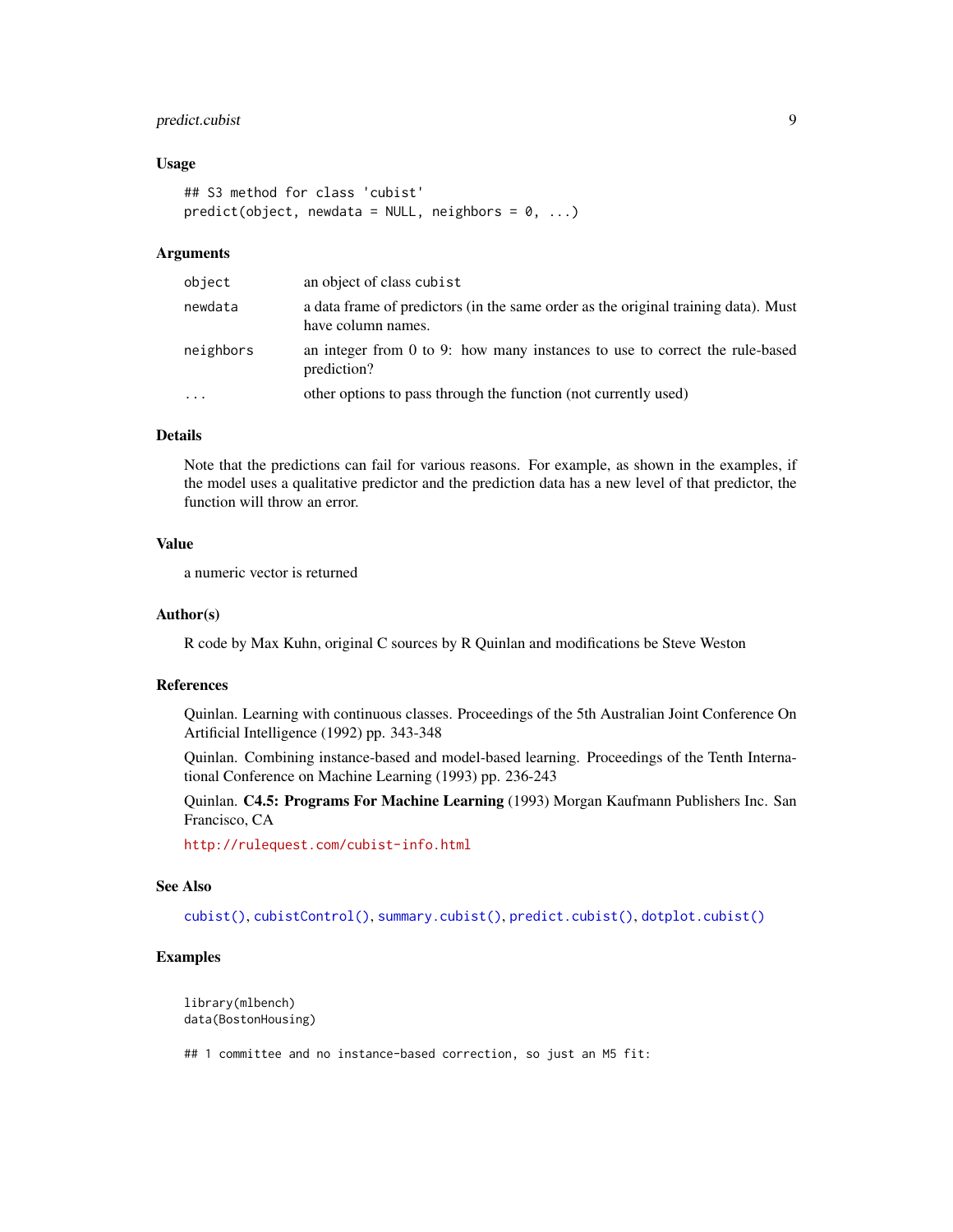#### <span id="page-8-0"></span>predict.cubist 9

#### Usage

```
## S3 method for class 'cubist'
predict(object, newdata = NULL, neighbors = 0, ...)
```
#### Arguments

| object    | an object of class cubist                                                                                |
|-----------|----------------------------------------------------------------------------------------------------------|
| newdata   | a data frame of predictors (in the same order as the original training data). Must<br>have column names. |
| neighbors | an integer from $0$ to $9$ : how many instances to use to correct the rule-based<br>prediction?          |
| .         | other options to pass through the function (not currently used)                                          |

#### Details

Note that the predictions can fail for various reasons. For example, as shown in the examples, if the model uses a qualitative predictor and the prediction data has a new level of that predictor, the function will throw an error.

#### Value

a numeric vector is returned

#### Author(s)

R code by Max Kuhn, original C sources by R Quinlan and modifications be Steve Weston

#### References

Quinlan. Learning with continuous classes. Proceedings of the 5th Australian Joint Conference On Artificial Intelligence (1992) pp. 343-348

Quinlan. Combining instance-based and model-based learning. Proceedings of the Tenth International Conference on Machine Learning (1993) pp. 236-243

Quinlan. C4.5: Programs For Machine Learning (1993) Morgan Kaufmann Publishers Inc. San Francisco, CA

<http://rulequest.com/cubist-info.html>

#### See Also

[cubist\(\)](#page-1-1), [cubistControl\(\)](#page-3-1), [summary.cubist\(\)](#page-9-1), [predict.cubist\(\)](#page-7-1), [dotplot.cubist\(\)](#page-5-1)

#### Examples

```
library(mlbench)
data(BostonHousing)
```
## 1 committee and no instance-based correction, so just an M5 fit: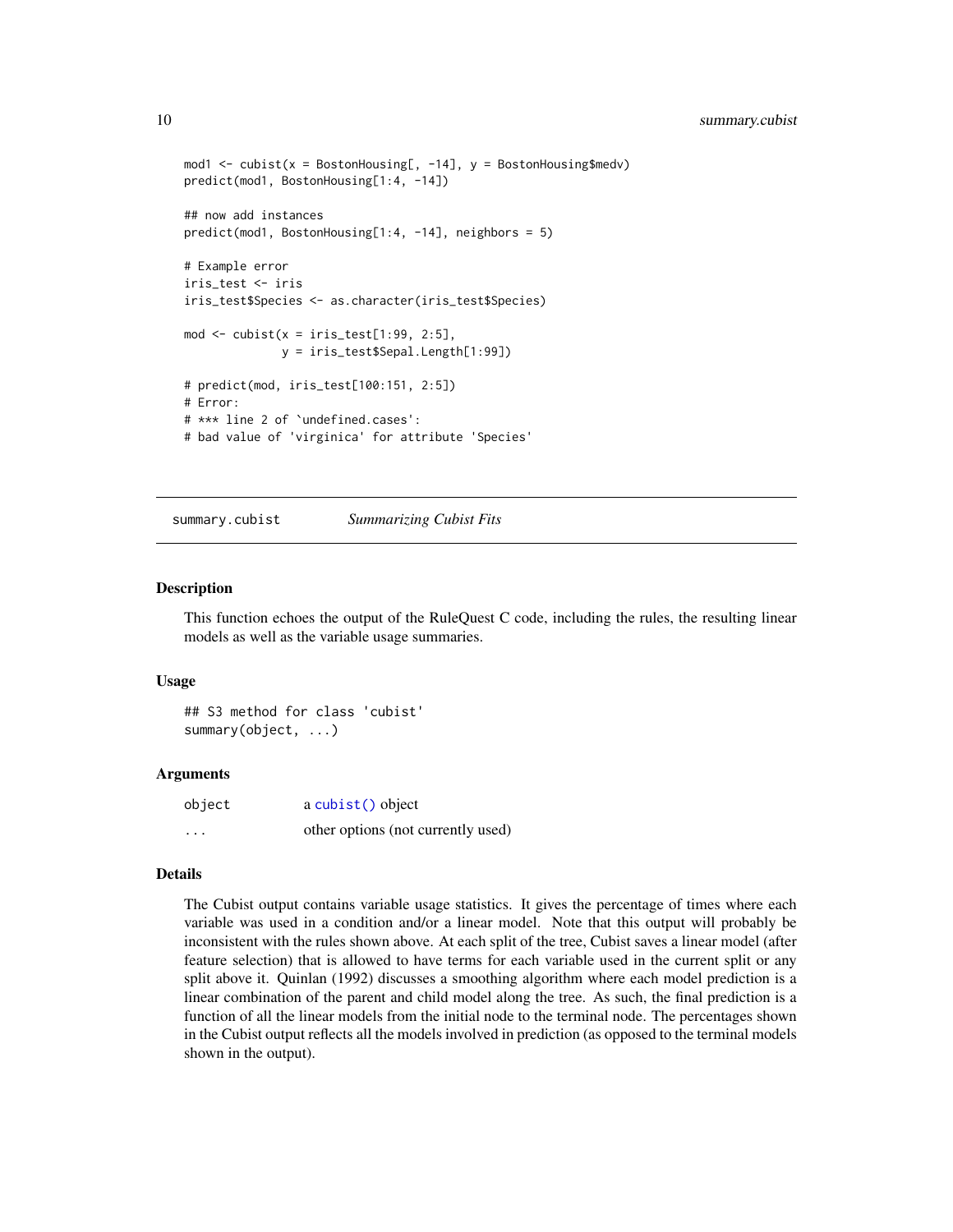```
mod1 <- cubist(x = BostonHousing[, -14], y = BostonHousing$medv)
predict(mod1, BostonHousing[1:4, -14])
## now add instances
predict(mod1, BostonHousing[1:4, -14], neighbors = 5)
# Example error
iris_test <- iris
iris_test$Species <- as.character(iris_test$Species)
mod \le cubist(x = iris_test[1:99, 2:5],
              y = iris_test$Sepal.Length[1:99])
# predict(mod, iris_test[100:151, 2:5])
# Error:
# *** line 2 of `undefined.cases':
# bad value of 'virginica' for attribute 'Species'
```
<span id="page-9-1"></span>summary.cubist *Summarizing Cubist Fits*

#### Description

This function echoes the output of the RuleQuest C code, including the rules, the resulting linear models as well as the variable usage summaries.

#### Usage

## S3 method for class 'cubist' summary(object, ...)

#### Arguments

| object   | a cubist() object                  |
|----------|------------------------------------|
| $\cdots$ | other options (not currently used) |

#### Details

The Cubist output contains variable usage statistics. It gives the percentage of times where each variable was used in a condition and/or a linear model. Note that this output will probably be inconsistent with the rules shown above. At each split of the tree, Cubist saves a linear model (after feature selection) that is allowed to have terms for each variable used in the current split or any split above it. Quinlan (1992) discusses a smoothing algorithm where each model prediction is a linear combination of the parent and child model along the tree. As such, the final prediction is a function of all the linear models from the initial node to the terminal node. The percentages shown in the Cubist output reflects all the models involved in prediction (as opposed to the terminal models shown in the output).

<span id="page-9-0"></span>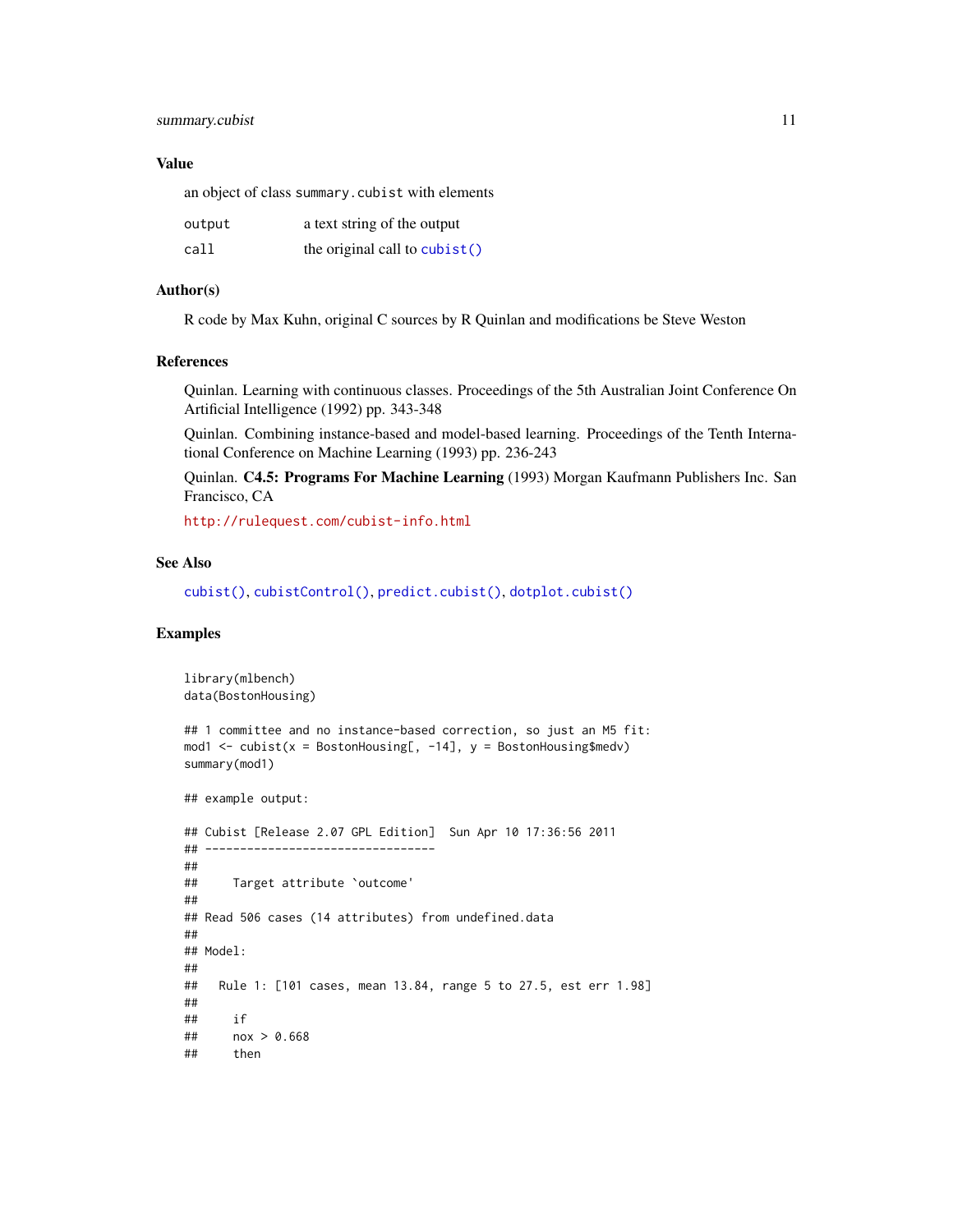#### <span id="page-10-0"></span>summary.cubist 11

#### Value

an object of class summary.cubist with elements

| output | a text string of the output    |
|--------|--------------------------------|
| call   | the original call to $cubic()$ |

#### Author(s)

R code by Max Kuhn, original C sources by R Quinlan and modifications be Steve Weston

#### References

Quinlan. Learning with continuous classes. Proceedings of the 5th Australian Joint Conference On Artificial Intelligence (1992) pp. 343-348

Quinlan. Combining instance-based and model-based learning. Proceedings of the Tenth International Conference on Machine Learning (1993) pp. 236-243

Quinlan. C4.5: Programs For Machine Learning (1993) Morgan Kaufmann Publishers Inc. San Francisco, CA

<http://rulequest.com/cubist-info.html>

#### See Also

```
cubist(), cubistControl(), predict.cubist(), dotplot.cubist()
```
#### Examples

```
library(mlbench)
data(BostonHousing)
## 1 committee and no instance-based correction, so just an M5 fit:
mod1 <- cubist(x = BostonHouse, -14], y = BostonHousesummary(mod1)
## example output:
## Cubist [Release 2.07 GPL Edition] Sun Apr 10 17:36:56 2011
## ---------------------------------
##
## Target attribute `outcome'
##
## Read 506 cases (14 attributes) from undefined.data
##
## Model:
##
## Rule 1: [101 cases, mean 13.84, range 5 to 27.5, est err 1.98]
##
## if
## nox > 0.668
## then
```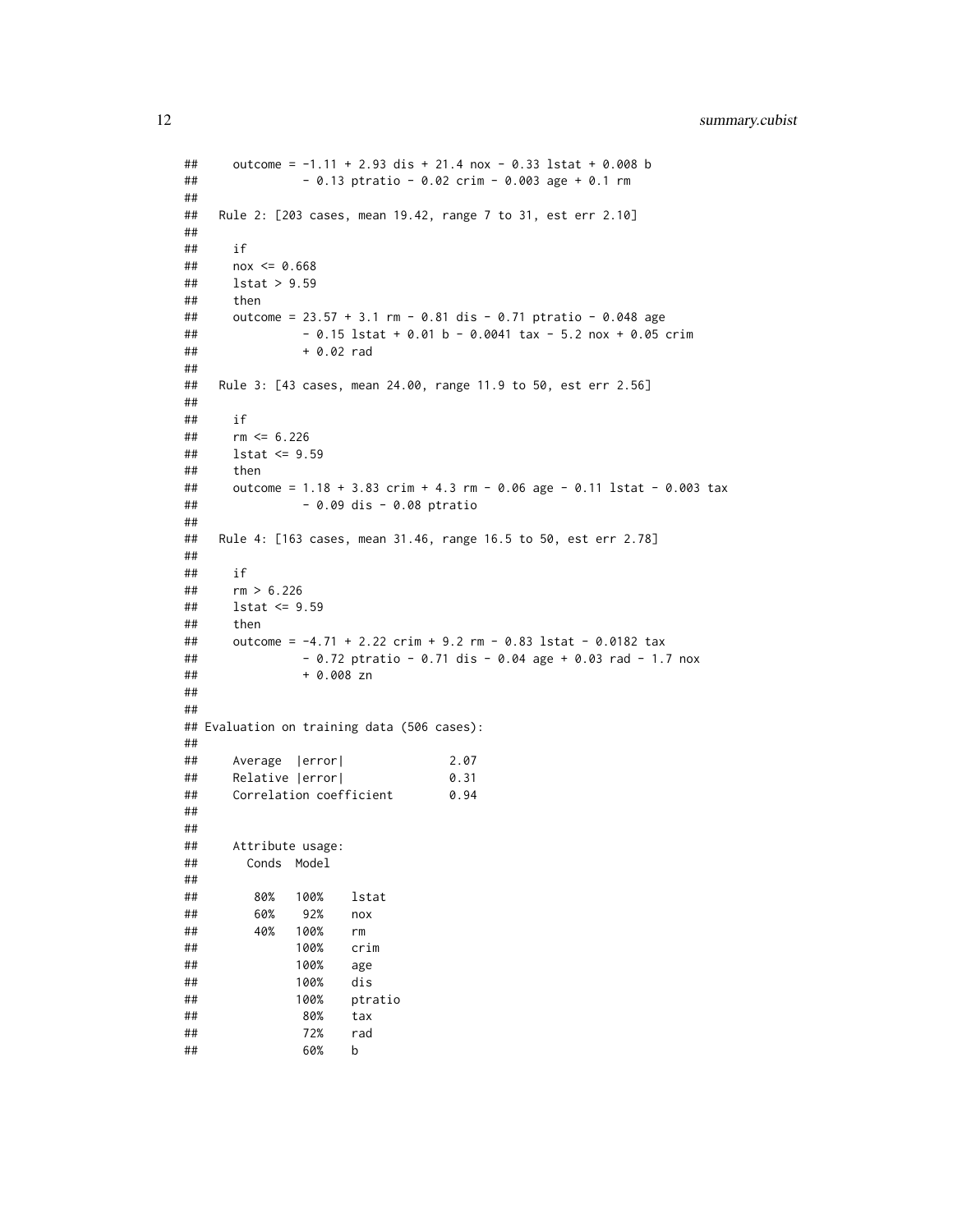```
## outcome = -1.11 + 2.93 dis + 21.4 nox - 0.33 lstat + 0.008 b
## - 0.13 ptratio - 0.02 crim - 0.003 age + 0.1 rm
##
## Rule 2: [203 cases, mean 19.42, range 7 to 31, est err 2.10]
##
## if
## nox <= 0.668
## lstat > 9.59
## then
## outcome = 23.57 + 3.1 rm - 0.81 dis - 0.71 ptratio - 0.048 age
## - 0.15 lstat + 0.01 b - 0.0041 tax - 5.2 nox + 0.05 crim
## + 0.02 rad
##
## Rule 3: [43 cases, mean 24.00, range 11.9 to 50, est err 2.56]
##
## if
## rm <= 6.226
## lstat <= 9.59
## then
## outcome = 1.18 + 3.83 crim + 4.3 rm - 0.06 age - 0.11 lstat - 0.003 tax
## - 0.09 dis - 0.08 ptratio
##
## Rule 4: [163 cases, mean 31.46, range 16.5 to 50, est err 2.78]
##
## if
## rm > 6.226
## lstat <= 9.59
## then
## outcome = -4.71 + 2.22 crim + 9.2 rm - 0.83 lstat - 0.0182 tax
## - 0.72 ptratio - 0.71 dis - 0.04 age + 0.03 rad - 1.7 nox
## + 0.008 zn
##
##
## Evaluation on training data (506 cases):
##
## Average |error| 2.07
## Relative |error| 0.31
## Correlation coefficient 0.94
##
##
## Attribute usage:
## Conds Model
##
## 80% 100% lstat
## 60% 92% nox
## 40% 100% rm
## 100% crim
## 100% age
## 100% dis
## 100% ptratio
## 80% tax
## 72% rad
## 60% b
```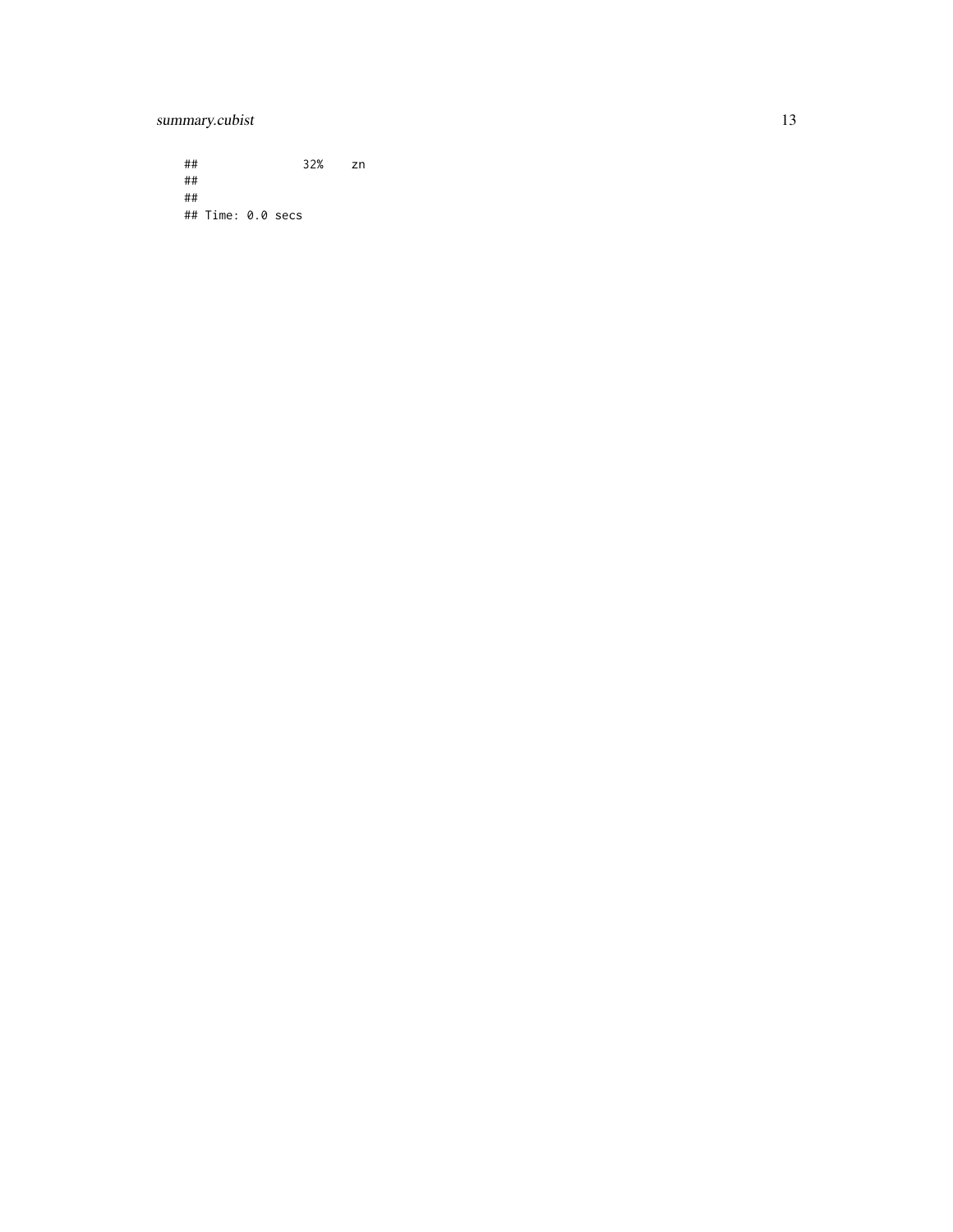### summary.cubist 13

## 32% zn ## ## ## Time: 0.0 secs